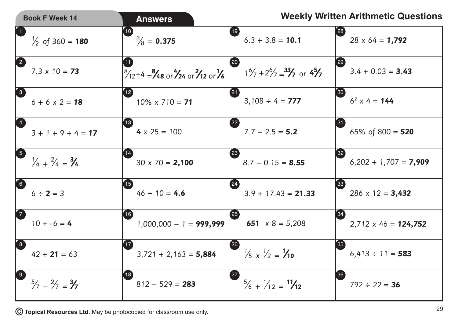| <b>Book F Week 14</b>                                         | <b>Answers</b>                                                                        | <b>Weekly Written Arithmetic Questions</b>                                                            |
|---------------------------------------------------------------|---------------------------------------------------------------------------------------|-------------------------------------------------------------------------------------------------------|
| $\bigcirc$<br>$\frac{1}{2}$ of 360 = 180                      | (10)<br>$\frac{3}{8}$ = 0.375                                                         | 【19】<br>$^{\prime}\mathsf{28)}$<br>$6.3 + 3.8 = 10.1$<br>$28 \times 64 = 1,792$                       |
| 2<br>$7.3 \times 10 = 73$                                     | $\frac{8}{2}$ = $\frac{8}{4}$ s or $\frac{4}{2}$ s or $\frac{2}{12}$ or $\frac{1}{6}$ | [29]<br>20<br>$3.4 + 0.03 = 3.43$<br>$1\frac{6}{7} + 2\frac{6}{7} = \frac{33}{7}$ or $4\frac{5}{7}$   |
| 3<br>$6 + 6 \times 2 = 18$                                    | $\overline{12}$<br>$10\% \times 710 = 71$                                             | (21)<br>[30]<br>$6^2$ x 4 = 144<br>$3,108 \div 4 = 777$                                               |
| $\left( 4\right)$<br>$3 + 1 + 9 + 4 = 17$                     | (13)<br>$4 \times 25 = 100$                                                           | 31<br>(22)<br>$7.7 - 2.5 = 5.2$<br>65% of 800 = $520$                                                 |
| 5<br>$\frac{1}{4} + \frac{2}{4} = \frac{3}{4}$                | $30 \times 70 = 2,100$                                                                | (23)<br>$\left[ 32 \right]$<br>$8.7 - 0.15 = 8.55$<br>$6,202 + 1,707 = 7,909$                         |
| 6<br>$6 \div 2 = 3$                                           | $\left 15\right\rangle$<br>$46 \div 10 = 4.6$                                         | (24)<br>$\left(33\right)$<br>$286 \times 12 = 3,432$<br>$3.9 + 17.43 = 21.33$                         |
| $\boldsymbol{\Omega}$<br>$10 + -6 = 4$                        | (16)<br>$1,000,000 - 1 = 999,999$                                                     | $\left(34\right)$<br>(25)<br>651 $x 8 = 5,208$<br>$2,712 \times 46 = 124,752$                         |
| 8<br>$42 + 21 = 63$                                           | (17)<br>$3,721 + 2,163 = 5,884$                                                       | $\left(35\right)$<br>[26]<br>$\frac{1}{5} \times \frac{1}{2} = \frac{1}{10}$<br>$6,413 \div 11 = 583$ |
| $\left(9\right)$<br>$\frac{5}{7} - \frac{2}{7} = \frac{3}{7}$ | (18)<br>$812 - 529 = 283$                                                             | [36]<br>(27)<br>$\frac{5}{6} + \frac{1}{12} = \frac{11}{12}$<br>$792 \div 22 = 36$                    |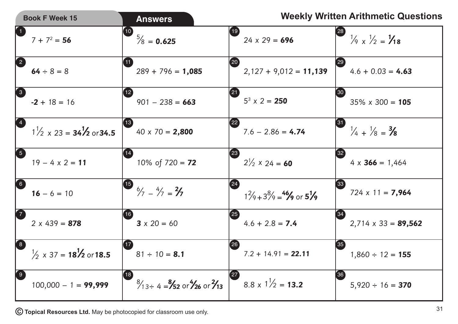|                                              | <b>Book F Week 15</b>                            |                   | <b>Answers</b>                                                          |                    |                                                                |                            | <b>Weekly Written Arithmetic Questions</b>      |
|----------------------------------------------|--------------------------------------------------|-------------------|-------------------------------------------------------------------------|--------------------|----------------------------------------------------------------|----------------------------|-------------------------------------------------|
| $\bigcirc$                                   | $7 + 7^2 = 56$                                   | $\left[10\right)$ | $\frac{5}{8}$ = 0.625                                                   | $\left(19\right)$  | $24 \times 29 = 696$                                           | [28]                       | $\frac{1}{9} \times \frac{1}{2} = \frac{1}{18}$ |
| 2                                            | $64 \div 8 = 8$                                  |                   | $289 + 796 = 1,085$                                                     | [20]               | $2,127 + 9,012 = 11,139$                                       | 29                         | $4.6 + 0.03 = 4.63$                             |
| 3                                            | $-2 + 18 = 16$                                   | $\boxed{12}$      | $901 - 238 = 663$                                                       | (21)               | $5^3$ x 2 = 250                                                | <b>30</b>                  | $35\% \times 300 = 105$                         |
| $\left( 4\right)$                            | $1\frac{1}{2} \times 23 = 34\frac{1}{2}$ or 34.5 | (13)              | $40 \times 70 = 2,800$                                                  | $\left( 22\right)$ | $7.6 - 2.86 = 4.74$                                            | $\left( 31\right)$         | $\frac{1}{4} + \frac{1}{8} = \frac{3}{8}$       |
| 5                                            | $19 - 4 \times 2 = 11$                           |                   | 10% of $720 = 72$                                                       | $\left[23\right]$  | $2\frac{1}{2} \times 24 = 60$                                  | $^{\prime}32^{\prime}$     | $4 \times 366 = 1,464$                          |
| 6                                            | $16 - 6 = 10$                                    |                   | $15$ $6/7 - 4/7 = 2/7$                                                  | 24                 | $1\frac{2}{9} + 3\frac{8}{9} = \frac{46}{9}$ or $5\frac{1}{9}$ | 33                         | $724 \times 11 = 7,964$                         |
| $\boldsymbol{\Omega}$                        | $2 \times 439 = 878$                             | (16)              | $3 \times 20 = 60$                                                      | 25                 | $4.6 + 2.8 = 7.4$                                              | $^{\prime}$ 34 $^{\prime}$ | $2,714 \times 33 = 89,562$                      |
| 8                                            | $\frac{1}{2}$ x 37 = 18/2 or 18.5                |                   | $81 \div 10 = 8.1$                                                      | (26)               | $7.2 + 14.91 = 22.11$                                          | 35 <sub>2</sub>            | $1,860 \div 12 = 155$                           |
| $\left[\begin{matrix} 9 \end{matrix}\right]$ | $100,000 - 1 = 99,999$                           | $\left(18\right)$ | $\frac{8}{13}$ + 4 = $\frac{8}{52}$ or $\frac{4}{26}$ or $\frac{2}{13}$ |                    | $8.8 \times 1\frac{1}{2} = 13.2$                               | ∫36                        | $5,920 \div 16 = 370$                           |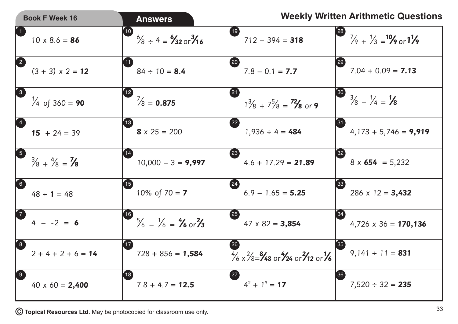|                  | <b>Book F Week 16</b>                     | <b>Answers</b>                                                                       |                                                                                                              | <b>Weekly Written Arithmetic Questions</b>                                 |
|------------------|-------------------------------------------|--------------------------------------------------------------------------------------|--------------------------------------------------------------------------------------------------------------|----------------------------------------------------------------------------|
|                  | $10 \times 8.6 = 86$                      | $\left(10\right)$<br>$\frac{6}{8}$ ÷ 4 = $\frac{6}{32}$ or $\frac{3}{16}$            | (19)<br>$712 - 394 = 318$                                                                                    | [28]<br>$\frac{7}{9} + \frac{1}{3} = \frac{10}{9}$ or $\frac{11}{9}$       |
| 2                | $(3 + 3) \times 2 = 12$                   | (11)<br>$84 \div 10 = 8.4$                                                           | (20)<br>$7.8 - 0.1 = 7.7$                                                                                    | [29]<br>$7.04 + 0.09 = 7.13$                                               |
| 3                | $\frac{1}{4}$ of 360 = <b>90</b>          | (12)<br>$\frac{7}{8}$ = 0.875                                                        | 【21】<br>$1\frac{3}{8} + 7\frac{5}{8} = \frac{72}{8}$ or 9                                                    | $\left( \frac{30}{2} \right)$<br>$\frac{3}{8} - \frac{1}{4} = \frac{1}{8}$ |
|                  | $15 + 24 = 39$                            | (13)<br>$8 \times 25 = 200$                                                          | $\left( 22\right)$<br>$1,936 \div 4 = 484$                                                                   | [31]<br>$4,173 + 5,746 = 9,919$                                            |
| $\bigcirc$       | $\frac{3}{8} + \frac{4}{8} = \frac{7}{8}$ | $10,000 - 3 = 9,997$                                                                 | (23)<br>$4.6 + 17.29 = 21.89$                                                                                | [32]<br>$8 \times 654 = 5,232$                                             |
| 6                | $48 \div 1 = 48$                          | $\left(15\right)$<br>10% of $70 = 7$                                                 | (24)<br>$6.9 - 1.65 = 5.25$                                                                                  | $\left[33\right]$<br>$286 \times 12 = 3,432$                               |
|                  | $4 - -2 = 6$                              | $\overline{16}$<br>$\frac{5}{6} - \frac{1}{6} = \frac{4}{6} \text{ or } \frac{2}{3}$ | (25)<br>$47 \times 82 = 3,854$                                                                               | $^{\prime}$ 34<br>$4,726 \times 36 = 170,136$                              |
| 8                | $2+4+2+6=14$                              | (17)<br>$728 + 856 = 1,584$                                                          | [26]<br>$\frac{4}{6} \times \frac{2}{8} = \frac{8}{48}$ or $\frac{4}{24}$ or $\frac{2}{12}$ or $\frac{1}{6}$ | $9,141 \div 11 = 831$                                                      |
| $\left(9\right)$ | $40 \times 60 = 2,400$                    | 18)<br>$7.8 + 4.7 = 12.5$                                                            | (27)<br>$4^2 + 1^3 = 17$                                                                                     | [36]<br>$7,520 \div 32 = 235$                                              |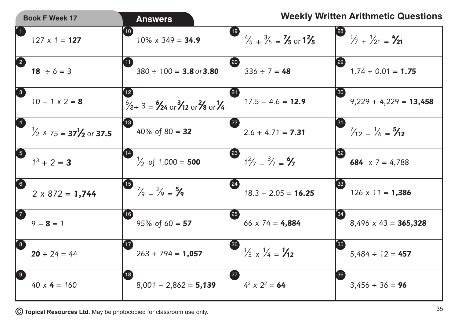|                   | <b>Book F Week 17</b>                                                  | <b>Answers</b>                                                                                           |                                                                     | <b>Weekly Written Arithmetic Questions</b>                         |
|-------------------|------------------------------------------------------------------------|----------------------------------------------------------------------------------------------------------|---------------------------------------------------------------------|--------------------------------------------------------------------|
| $\bigcirc$        | $127 \times 1 = 127$                                                   | 10<br>$10\% \times 349 = 34.9$                                                                           | (19)<br>$\frac{4}{5} + \frac{3}{5} = \frac{7}{5}$ or $1\frac{2}{5}$ | [28]<br>$\frac{1}{7}$ + $\frac{1}{21}$ = $\frac{4}{21}$            |
| 2                 | $18 \div 6 = 3$                                                        | (11)<br>$380 \div 100 = 3.8$ or $3.80$                                                                   | (20)<br>$336 \div 7 = 48$                                           | $\left(29\right)$<br>$1.74 + 0.01 = 1.75$                          |
| 3                 | $10 - 1 \times 2 = 8$                                                  | 12 <sub>2</sub><br>$\frac{6}{8}$ ÷ 3 = $\frac{6}{2}$ or $\frac{3}{12}$ or $\frac{2}{8}$ or $\frac{1}{4}$ | (21)<br>$17.5 - 4.6 = 12.9$                                         | $\left 30\right\rangle$<br>$9,229 + 4,229 = 13,458$                |
|                   | $\frac{1}{2}$ x 75 = <b>37<sup>1</sup>/<sub>2</sub></b> or <b>37.5</b> | (13)<br>40% of $80 = 32$                                                                                 | (22)<br>$2.6 + 4.71 = 7.31$                                         | $\left[ 31 \right]$<br>$\frac{7}{12} - \frac{1}{6} = \frac{5}{12}$ |
| $\mathbf{G}$      | $1^3 + 2 = 3$                                                          | $\frac{1}{2}$ of 1,000 = <b>500</b>                                                                      | $\left( 23\right)$<br>$1^2/7 - \frac{3}{7} = \frac{6}{7}$           | [32]<br>684 $x 7 = 4,788$                                          |
| 6                 | $2 \times 872 = 1,744$                                                 | $\overline{\mathbf{15}}$<br>$\frac{7}{9} - \frac{2}{9} = \frac{5}{9}$                                    | (24)<br>$18.3 - 2.05 = 16.25$                                       | 33 <br>$126 \times 11 = 1,386$                                     |
| $\boldsymbol{Z}$  | $9 - 8 = 1$                                                            | (16)<br>95% of $60 = 57$                                                                                 | (25)<br>66 $x$ 74 = 4,884                                           | $^{\prime}34$<br>$8,496 \times 43 = 365,328$                       |
| 8                 | $20 + 24 = 44$                                                         | (17)<br>$263 + 794 = 1,057$                                                                              | (26)<br>$\frac{1}{3} \times \frac{1}{4} = \frac{1}{12}$             | 35<br>$5,484 \div 12 = 457$                                        |
| $\left( 9\right)$ | $40 \times 4 = 160$                                                    | (18)<br>$8,001 - 2,862 = 5,139$                                                                          | $\left( 27\right)$<br>$4^2 \times 2^2 = 64$                         | $^{\prime}36^{\prime}$<br>$3,456 \div 36 = 96$                     |